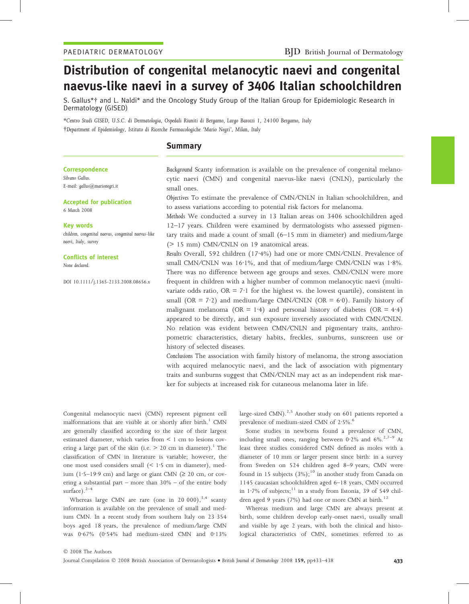# Distribution of congenital melanocytic naevi and congenital naevus-like naevi in a survey of 3406 Italian schoolchildren

S. Gallus\*- and L. Naldi\* and the Oncology Study Group of the Italian Group for Epidemiologic Research in Dermatology (GISED)

\*Centro Studi GISED, U.S.C. di Dermatologia, Ospedali Riuniti di Bergamo, Largo Barozzi 1, 24100 Bergamo, Italy -Department of Epidemiology, Istituto di Ricerche Farmacologiche 'Mario Negri', Milan, Italy

# Summary

#### **Correspondence**

Silvano Gallus. E-mail: gallus@marionegri.it

## Accepted for publication 6 March 2008

## Key words

children, congenital naevus, congenital naevus-like naevi, Italy, survey

#### Conflicts of interest

None declared.

DOI 10.1111/j.1365-2133.2008.08656.x

Background Scanty information is available on the prevalence of congenital melanocytic naevi (CMN) and congenital naevus-like naevi (CNLN), particularly the small ones.

Objectives To estimate the prevalence of CMN ⁄CNLN in Italian schoolchildren, and to assess variations according to potential risk factors for melanoma.

Methods We conducted a survey in 13 Italian areas on 3406 schoolchildren aged 12–17 years. Children were examined by dermatologists who assessed pigmentary traits and made a count of small (6–15 mm in diameter) and medium ⁄large (> 15 mm) CMN⁄CNLN on 19 anatomical areas.

Results Overall, 592 children (17.4%) had one or more CMN/CNLN. Prevalence of small CMN/CNLN was  $16·1%$ , and that of medium/large CMN/CNLN was  $1·8%$ . There was no difference between age groups and sexes. CMN⁄CNLN were more frequent in children with a higher number of common melanocytic naevi (multivariate odds ratio,  $OR = 7.1$  for the highest vs. the lowest quartile), consistent in small (OR =  $7.2$ ) and medium/large CMN/CNLN (OR =  $6.0$ ). Family history of malignant melanoma (OR = 1.4) and personal history of diabetes (OR = 4.4) appeared to be directly, and sun exposure inversely associated with CMN/CNLN. No relation was evident between CMN/CNLN and pigmentary traits, anthropometric characteristics, dietary habits, freckles, sunburns, sunscreen use or history of selected diseases.

Conclusions The association with family history of melanoma, the strong association with acquired melanocytic naevi, and the lack of association with pigmentary traits and sunburns suggest that CMN/CNLN may act as an independent risk marker for subjects at increased risk for cutaneous melanoma later in life.

Congenital melanocytic naevi (CMN) represent pigment cell malformations that are visible at or shortly after birth.<sup>1</sup> CMN are generally classified according to the size of their largest estimated diameter, which varies from < 1 cm to lesions covering a large part of the skin (i.e.  $> 20$  cm in diameter).<sup>1</sup> The classification of CMN in literature is variable; however, the one most used considers small  $($  < 1.5 cm in diameter), medium (1.5–19.9 cm) and large or giant CMN ( $\geq$  20 cm, or covering a substantial part – more than 30% – of the entire body surface). $2-4$ 

Whereas large CMN are rare (one in 20 000), $^{3,4}$  scanty information is available on the prevalence of small and medium CMN. In a recent study from southern Italy on 23 354 boys aged 18 years, the prevalence of medium ⁄large CMN was  $0.67\%$  (0.54% had medium-sized CMN and 0.13% large-sized CMN).<sup>2,5</sup> Another study on 601 patients reported a prevalence of medium-sized CMN of 2.5%.<sup>6</sup>

Some studies in newborns found a prevalence of CMN, including small ones, ranging between 0.2% and  $6\%$ .<sup>2,7–9</sup> At least three studies considered CMN defined as moles with a diameter of 10 mm or larger present since birth: in a survey from Sweden on 524 children aged 8–9 years, CMN were found in 15 subjects  $(3\%)$ ;<sup>10</sup> in another study from Canada on 1145 caucasian schoolchildren aged 6–18 years, CMN occurred in 1.7% of subjects;  $11$  in a study from Estonia, 39 of 549 children aged 9 years (7%) had one or more CMN at birth.<sup>12</sup>

Whereas medium and large CMN are always present at birth, some children develop early-onset naevi, usually small and visible by age 2 years, with both the clinical and histological characteristics of CMN, sometimes referred to as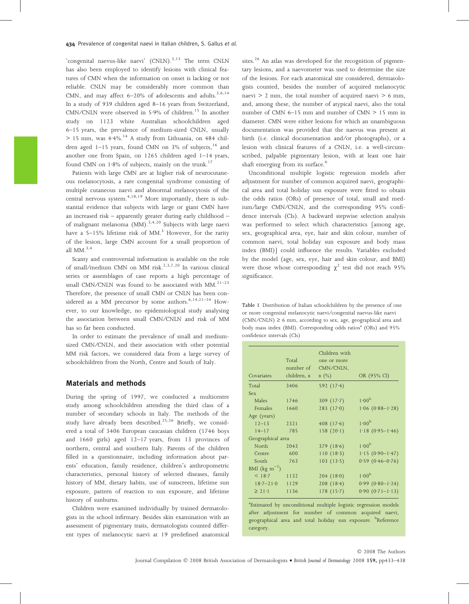'congenital naevus-like naevi' (CNLN).<sup>3,13</sup> The term CNLN has also been employed to identify lesions with clinical features of CMN when the information on onset is lacking or not reliable. CNLN may be considerably more common than CMN, and may affect  $6-20\%$  of adolescents and adults.<sup>3,6,14</sup> In a study of 939 children aged 8–16 years from Switzerland, CMN/CNLN were observed in  $5.9\%$  of children.<sup>15</sup> In another study on 1123 white Australian schoolchildren aged 6–15 years, the prevalence of medium-sized CNLN, usually  $> 15$  mm, was  $4.4\%$ .<sup>14</sup> A study from Lithuania, on 484 children aged  $1-15$  years, found CMN on 3% of subjects,  $16$  and another one from Spain, on 1265 children aged 1–14 years, found CMN on  $1.8\%$  of subjects, mainly on the trunk.<sup>17</sup>

Patients with large CMN are at higher risk of neurocutaneous melanocytosis, a rare congenital syndrome consisting of multiple cutaneous naevi and abnormal melanocytosis of the central nervous system. $4,18,19$  More importantly, there is substantial evidence that subjects with large or giant CMN have an increased risk – apparently greater during early childhood – of malignant melanoma  $(MM)$ .<sup>3,4,20</sup> Subjects with large naevi have a  $5-15\%$  lifetime risk of MM.<sup>3</sup> However, for the rarity of the lesion, large CMN account for a small proportion of all  $MM<sup>3,4</sup>$ 

Scanty and controversial information is available on the role of small/medium CMN on MM risk.<sup>2,3,7,20</sup> In various clinical series or assemblages of case reports a high percentage of small CMN/CNLN was found to be associated with MM. $^{21-23}$ Therefore, the presence of small CMN or CNLN has been considered as a MM precursor by some authors.<sup>6,14,21-24</sup> However, to our knowledge, no epidemiological study analysing the association between small CMN/CNLN and risk of MM has so far been conducted.

In order to estimate the prevalence of small and mediumsized CMN/CNLN, and their association with other potential MM risk factors, we considered data from a large survey of schoolchildren from the North, Centre and South of Italy.

## Materials and methods

During the spring of 1997, we conducted a multicentre study among schoolchildren attending the third class of a number of secondary schools in Italy. The methods of the study have already been described.<sup>25,26</sup> Briefly, we considered a total of 3406 European caucasian children (1746 boys and 1660 girls) aged 12–17 years, from 13 provinces of northern, central and southern Italy. Parents of the children filled in a questionnaire, including information about parents' education, family residence, children's anthropometric characteristics, personal history of selected diseases, family history of MM, dietary habits, use of sunscreen, lifetime sun exposure, pattern of reaction to sun exposure, and lifetime history of sunburns.

Children were examined individually by trained dermatologists in the school infirmary. Besides skin examination with an assessment of pigmentary traits, dermatologists counted different types of melanocytic naevi at 19 predefined anatomical sites.<sup>26</sup> An atlas was developed for the recognition of pigmentary lesions, and a naevometer was used to determine the size of the lesions. For each anatomical site considered, dermatologists counted, besides the number of acquired melanocytic naevi  $> 2$  mm, the total number of acquired naevi  $> 6$  mm, and, among these, the number of atypical naevi, also the total number of CMN 6–15 mm and number of CMN > 15 mm in diameter. CMN were either lesions for which an unambiguous documentation was provided that the naevus was present at birth (i.e. clinical documentation and/or photographs), or a lesion with clinical features of a CNLN, i.e. a well-circumscribed, palpable pigmentary lesion, with at least one hair shaft emerging from its surface.<sup>6</sup>

Unconditional multiple logistic regression models after adjustment for number of common acquired naevi, geographical area and total holiday sun exposure were fitted to obtain the odds ratios (ORs) of presence of total, small and medium/large CMN/CNLN, and the corresponding 95% confidence intervals (CIs). A backward stepwise selection analysis was performed to select which characteristics [among age, sex, geographical area, eye, hair and skin colour, number of common naevi, total holiday sun exposure and body mass index (BMI)] could influence the results. Variables excluded by the model (age, sex, eye, hair and skin colour, and BMI) were those whose corresponding  $\chi^2$  test did not reach 95% significance.

Table 1 Distribution of Italian schoolchildren by the presence of one or more congenital melanocytic naevi ⁄ congenital naevus-like naevi  $(CMN/CNLN) \ge 6$  mm, according to sex, age, geographical area and body mass index (BMI). Corresponding odds ratios<sup>a</sup> (ORs) and 95% confidence intervals (CIs)

| Covariates                                | Total<br>number of<br>children, n | Children with<br>one or more<br>CMN/CNLN,<br>$n \ (\%)$ | OR (95% CI)            |  |
|-------------------------------------------|-----------------------------------|---------------------------------------------------------|------------------------|--|
| Total                                     | 3406                              | 592 $(17.4)$                                            |                        |  |
| <b>Sex</b>                                |                                   |                                                         |                        |  |
| Males                                     | 1746                              | 309 $(17.7)$                                            | 1.00 <sup>b</sup>      |  |
| Females                                   | 1660                              | 283(17.0)                                               | $1.06(0.88-1.28)$      |  |
| Age (years)                               |                                   |                                                         |                        |  |
| $12 - 13$                                 | 2321                              | 408 $(17.6)$                                            | 1.00 <sup>b</sup>      |  |
| $14 - 17$                                 | 785                               | 158(20.1)                                               | $1.18(0.95-1.46)$      |  |
| Geographical area                         |                                   |                                                         |                        |  |
| North                                     | 2043                              | 379 $(18.6)$                                            | 1.00 <sup>b</sup>      |  |
| Centre                                    | 600                               | 110(18.3)                                               | $1.15(0.90-1.47)$      |  |
| South                                     | 763                               | 103(13.5)                                               | $0.59$ $(0.46 - 0.76)$ |  |
| BMI (kg m <sup><math>^{-2}</math></sup> ) |                                   |                                                         |                        |  |
| < 18.7                                    | 1132                              | 204(18.0)                                               | 1.00 <sup>b</sup>      |  |
| $18.7 - 21.0$                             | 1129                              | 208(18.4)                                               | $0.99(0.80-1.24)$      |  |
| $\geq 21.1$                               | 1136                              | 178(15.7)                                               | $0.90(0.71-1.13)$      |  |

<sup>a</sup>Estimated by unconditional multiple logistic regression models after adjustment for number of common acquired naevi, geographical area and total holiday sun exposure. <sup>b</sup>Reference category.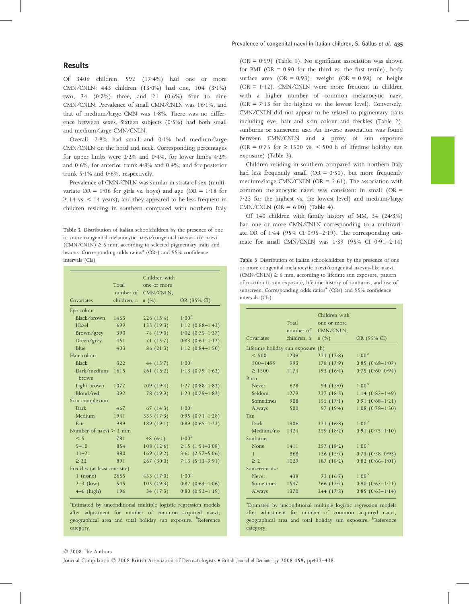Of 3406 children, 592 (17.4%) had one or more CMN/CNLN: 443 children (13.0%) had one, 104 (3.1%) two, 24  $(0.7%)$  three, and 21  $(0.6%)$  four to nine CMN/CNLN. Prevalence of small CMN/CNLN was 16·1%, and that of medium/large CMN was  $1.8\%$ . There was no difference between sexes. Sixteen subjects  $(0.5\%)$  had both small and medium ⁄large CMN ⁄CNLN.

Overall,  $2.8\%$  had small and  $0.1\%$  had medium/large CMN/CNLN on the head and neck. Corresponding percentages for upper limbs were  $2.2\%$  and  $0.4\%$ , for lower limbs  $4.2\%$ and  $0.6\%$ , for anterior trunk  $4.8\%$  and  $0.4\%$ , and for posterior trunk  $5.1\%$  and  $0.6\%$ , respectively.

Prevalence of CMN/CNLN was similar in strata of sex (multivariate OR =  $1.06$  for girls vs. boys) and age (OR =  $1.18$  for  $\geq$  14 vs. < 14 years), and they appeared to be less frequent in children residing in southern compared with northern Italy

Table 2 Distribution of Italian schoolchildren by the presence of one or more congenital melanocytic naevi ⁄ congenital naevus-like naevi  $(CMN/CNLN) \ge 6$  mm, according to selected pigmentary traits and lesions. Corresponding odds ratios<sup>a</sup> (ORs) and 95% confidence intervals (CIs)

|                              | Total       | Children with<br>one or more |                        |
|------------------------------|-------------|------------------------------|------------------------|
|                              |             | number of CMN/CNLN,          |                        |
| Covariates                   | children, n | $n(\%)$                      | OR (95% CI)            |
| Eye colour                   |             |                              |                        |
| Black/brown                  | 1463        | 226(15.4)                    | 1.00 <sup>b</sup>      |
| Hazel                        | 699         | 135 $(19.3)$                 | $1.12(0.88-1.43)$      |
| Brown/grey                   | 390         | 74 $(19.0)$                  | $1.02(0.75-1.37)$      |
| Green/grey                   | 451         | 71 $(15.7)$                  | $0.83(0.61-1.12)$      |
| <b>Blue</b>                  | 403         | 86(21.3)                     | $1.12(0.84 - 1.50)$    |
| Hair colour                  |             |                              |                        |
| <b>Black</b>                 | 322         | 44 $(13.7)$                  | 1.00 <sup>b</sup>      |
| Dark/medium<br>brown         | 1615        | 261(16.2)                    | $1.13(0.79-1.62)$      |
| Light brown                  | 1077        | 209(19.4)                    | $1.27$ (0.88-1.83)     |
| Blond/red                    | 392         | 78 (19.9)                    | $1.20(0.79-1.82)$      |
| Skin complexion              |             |                              |                        |
| <b>Dark</b>                  | 467         | 67 $(14.3)$                  | 1.00 <sup>b</sup>      |
| Medium                       | 1941        | 335(17.3)                    | $0.95(0.71-1.28)$      |
| Fair                         | 989         | 189 $(19.1)$                 | $0.89$ $(0.65 - 1.23)$ |
| Number of naevi $> 2$ mm     |             |                              |                        |
| < 5                          | 781         | 48 $(6.1)$                   | 1.00 <sup>b</sup>      |
| $5 - 10$                     | 854         | 108(12.6)                    | $2.15(1.51-3.08)$      |
| $11 - 21$                    | 880         | 169(19.2)                    | $3.61(2.57 - 5.06)$    |
| $\geq$ 22                    | 891         | 267(30.0)                    | $7.13(5.13 - 9.91)$    |
| Freckles (at least one site) |             |                              |                        |
| $1$ (none)                   | 2665        | 453 $(17.0)$                 | 1.00 <sup>b</sup>      |
| $2-3$ (low)                  | 545         | 105(19.3)                    | $0.82$ $(0.64 - 1.06)$ |
| $4-6$ (high)                 | 196         | 34(17.3)                     | $0.80(0.53 - 1.19)$    |

<sup>a</sup>Estimated by unconditional multiple logistic regression models after adjustment for number of common acquired naevi, geographical area and total holiday sun exposure. <sup>b</sup>Reference category.

(OR =  $0.59$ ) (Table 1). No significant association was shown for BMI (OR  $= 0.90$  for the third vs. the first tertile), body surface area (OR =  $0.93$ ), weight (OR =  $0.98$ ) or height ( $OR = 1.12$ ). CMN/CNLN were more frequent in children with a higher number of common melanocytic naevi ( $OR = 7.13$  for the highest vs. the lowest level). Conversely, CMN/CNLN did not appear to be related to pigmentary traits including eye, hair and skin colour and freckles (Table 2), sunburns or sunscreen use. An inverse association was found between CMN/CNLN and a proxy of sun exposure (OR =  $0.75$  for  $\geq 1500$  vs. < 500 h of lifetime holiday sun exposure) (Table 3).

Children residing in southern compared with northern Italy had less frequently small ( $OR = 0.50$ ), but more frequently medium/large CMN/CNLN (OR =  $2.61$ ). The association with common melanocytic naevi was consistent in small (OR =  $7.23$  for the highest vs. the lowest level) and medium/large CMN/CNLN (OR =  $6.00$ ) (Table 4).

Of 140 children with family history of MM, 34  $(24.3%)$ had one or more CMN/CNLN corresponding to a multivariate OR of 1.44 (95% CI 0.95–2.19). The corresponding estimate for small CMN/CNLN was  $1.39$  (95% CI 0.91-2.14)

Table 3 Distribution of Italian schoolchildren by the presence of one or more congenital melanocytic naevi ⁄ congenital naevus-like naevi  $(CMN/CNLN) \ge 6$  mm, according to lifetime sun exposure, pattern of reaction to sun exposure, lifetime history of sunburns, and use of sunscreen. Corresponding odds ratios<sup>a</sup> (ORs) and 95% confidence intervals (CIs)

| Covariates                        | Total<br>number of<br>children, n | Children with<br>one or more<br>CMN/CNLN,<br>$n(\%)$ | OR (95% CI)            |
|-----------------------------------|-----------------------------------|------------------------------------------------------|------------------------|
|                                   |                                   |                                                      |                        |
| Lifetime holiday sun exposure (h) |                                   |                                                      |                        |
| < 500                             | 1239                              | 221(17.8)                                            | 1.00 <sup>b</sup>      |
| $500 - 1499$                      | 993                               | 178(17.9)                                            | $0.85(0.68-1.07)$      |
| $\geq 1500$                       | 1174                              | 193 $(16.4)$                                         | $0.75(0.60 - 0.94)$    |
| <b>Burn</b>                       |                                   |                                                      |                        |
| Never                             | 628                               | 94 $(15.0)$                                          | 1.00 <sup>b</sup>      |
| Seldom                            | 1279                              | 237(18.5)                                            | $1.14(0.87-1.49)$      |
| Sometimes                         | 908                               | 155(17.1)                                            | $0.91 (0.68 - 1.21)$   |
| Always                            | 500                               | 97 $(19.4)$                                          | $1.08(0.78 - 1.50)$    |
| Tan                               |                                   |                                                      |                        |
| Dark                              | 1906                              | 321(16.8)                                            | 1.00 <sup>b</sup>      |
| Medium/no                         | 1424                              | 259(18.2)                                            | $0.91(0.75-1.10)$      |
| Sunburns                          |                                   |                                                      |                        |
| None                              | 1411                              | 257(18.2)                                            | 1.00 <sup>b</sup>      |
| $\mathbf{1}$                      | 868                               | 136(15.7)                                            | $0.73$ $(0.58 - 0.93)$ |
| $\geq$ 2                          | 1029                              | 187(18.2)                                            | $0.82(0.66 - 1.01)$    |
| Sunscreen use                     |                                   |                                                      |                        |
| Never                             | 438                               | 73 $(16.7)$                                          | 1.00 <sup>b</sup>      |
| Sometimes                         | 1547                              | 266(17.2)                                            | $0.90(0.67-1.21)$      |
| Always                            | 1370                              | 244(17.8)                                            | $0.85(0.63-1.14)$      |
|                                   |                                   |                                                      |                        |

a Estimated by unconditional multiple logistic regression models after adjustment for number of common acquired naevi, geographical area and total holiday sun exposure. <sup>b</sup>Reference category.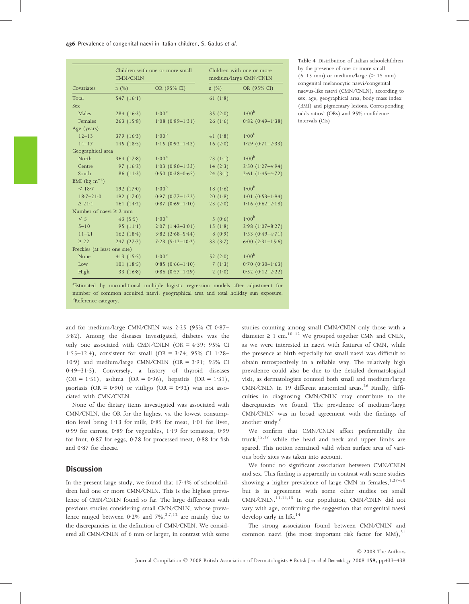| Covariates                                | CMN/CNLN     | Children with one or more small |            | Children with one or more<br>medium/large CMN/CNLN |  |
|-------------------------------------------|--------------|---------------------------------|------------|----------------------------------------------------|--|
|                                           | $n(\%)$      | OR (95% CI)                     | $n(\%)$    | OR (95% CI)                                        |  |
| Total                                     | 547 $(16.1)$ |                                 | 61 $(1.8)$ |                                                    |  |
| <b>Sex</b>                                |              |                                 |            |                                                    |  |
| Males                                     | 284(16.3)    | 1.00 <sup>b</sup>               | 35 $(2.0)$ | 1.00 <sup>b</sup>                                  |  |
| Females                                   | 263(15.8)    | $1.08(0.89-1.31)$               | 26(1.6)    | $0.82$ (0.49-1.38)                                 |  |
| Age (years)                               |              |                                 |            |                                                    |  |
| $12 - 13$                                 | 379(16.3)    | 1.00 <sup>b</sup>               | 41 $(1.8)$ | 1.00 <sup>b</sup>                                  |  |
| $14 - 17$                                 | 145 $(18.5)$ | $1.15(0.92 - 1.43)$             | 16(2.0)    | $1.29$ (0.71-2.33)                                 |  |
| Geographical area                         |              |                                 |            |                                                    |  |
| North                                     | 364(17.8)    | 1.00 <sup>b</sup>               | 23 $(1.1)$ | 1.00 <sup>b</sup>                                  |  |
| Centre                                    | 97 $(16.2)$  | $1.03(0.80-1.33)$               | 14(2.3)    | $2.50(1.27 - 4.94)$                                |  |
| South                                     | 86 $(11.3)$  | $0.50(0.38 - 0.65)$             | 24(3.1)    | $2.61(1.45 - 4.72)$                                |  |
| BMI (kg m <sup><math>^{-2}</math></sup> ) |              |                                 |            |                                                    |  |
| < 18.7                                    | 192 $(17.0)$ | 1.00 <sup>b</sup>               | 18 $(1.6)$ | 1.00 <sup>b</sup>                                  |  |
| $18.7 - 21.0$                             | 192 $(17.0)$ | $0.97 (0.77 - 1.22)$            | 20(1.8)    | $1.01 (0.53 - 1.94)$                               |  |
| $\geq 21.1$                               | 161 $(14.2)$ | $0.87$ (0.69-1.10)              | 23(2.0)    | $1.16(0.62 - 2.18)$                                |  |
| Number of naevi $\geq 2$ mm               |              |                                 |            |                                                    |  |
| < 5                                       | 43 $(5.5)$   | 1.00 <sup>b</sup>               | 5(0.6)     | 1.00 <sup>b</sup>                                  |  |
| $5 - 10$                                  | 95 $(11-1)$  | $2.07(1.42-3.01)$               | 15 $(1.8)$ | $2.98(1.07 - 8.27)$                                |  |
| $11 - 21$                                 | 162(18.4)    | $3.82(2.68 - 5.44)$             | 8(0.9)     | $1.53(0.49 - 4.71)$                                |  |
| $\geq$ 22                                 | 247(27.7)    | $7.23(5.12-10.2)$               | 33 $(3.7)$ | $6.00(2.31-15.6)$                                  |  |
| Freckles (at least one site)              |              |                                 |            |                                                    |  |
| None                                      | 413 $(15.5)$ | 1.00 <sup>b</sup>               | 52 $(2.0)$ | 1.00 <sup>b</sup>                                  |  |
| Low                                       | 101(18.5)    | $0.85(0.66 - 1.10)$             | 7 $(1.3)$  | $0.70(0.30-1.63)$                                  |  |
| High                                      | 33 $(16.8)$  | $0.86(0.57-1.29)$               | 2(1.0)     | $0.52(0.12-2.22)$                                  |  |

Table 4 Distribution of Italian schoolchildren by the presence of one or more small  $(6-15$  mm) or medium/large ( $> 15$  mm) congenital melanocytic naevi ⁄ congenital naevus-like naevi (CMN ⁄CNLN), according to sex, age, geographical area, body mass index (BMI) and pigmentary lesions. Corresponding odds ratios<sup>a</sup> (ORs) and 95% confidence intervals (CIs)

number of common acquired naevi, geographical area and total holiday sun exposure. <sup>b</sup>Reference category.

and for medium/large CMN/CNLN was  $2.25$  (95% CI 0.87-5.82). Among the diseases investigated, diabetes was the only one associated with CMN/CNLN (OR =  $4.39$ ; 95% CI 1.55–12.4), consistent for small (OR =  $3.74$ ; 95% CI 1.28– 10.9) and medium/large CMN/CNLN (OR =  $3.91$ ; 95% CI 0.49-31.5). Conversely, a history of thyroid diseases  $(OR = 1.51)$ , asthma  $(OR = 0.96)$ , hepatitis  $(OR = 1.31)$ , psoriasis (OR =  $0.90$ ) or vitiligo (OR =  $0.92$ ) was not associated with CMN/CNLN.

None of the dietary items investigated was associated with CMN/CNLN, the OR for the highest vs. the lowest consumption level being  $1.13$  for milk, 0.85 for meat,  $1.01$  for liver, 0.99 for carrots, 0.89 for vegetables, 1.19 for tomatoes, 0.99 for fruit, 0.87 for eggs, 0.78 for processed meat, 0.88 for fish and  $0.87$  for cheese.

## **Discussion**

In the present large study, we found that  $17.4%$  of schoolchildren had one or more CMN/CNLN. This is the highest prevalence of CMN/CNLN found so far. The large differences with previous studies considering small CMN ⁄CNLN, whose prevalence ranged between  $0.2\%$  and  $7\%$ ,<sup>2,7,12</sup> are mainly due to the discrepancies in the definition of CMN/CNLN. We considered all CMN/CNLN of 6 mm or larger, in contrast with some studies counting among small CMN/CNLN only those with a diameter  $\geq 1$  cm.<sup>10–12</sup> We grouped together CMN and CNLN, as we were interested in naevi with features of CMN, while the presence at birth especially for small naevi was difficult to obtain retrospectively in a reliable way. The relatively high prevalence could also be due to the detailed dermatological visit, as dermatologists counted both small and medium/large CMN/CNLN in 19 different anatomical areas.<sup>26</sup> Finally, difficulties in diagnosing CMN/CNLN may contribute to the discrepancies we found. The prevalence of medium/large CMN/CNLN was in broad agreement with the findings of another study.<sup>6</sup>

We confirm that CMN/CNLN affect preferentially the trunk,<sup>15,17</sup> while the head and neck and upper limbs are spared. This notion remained valid when surface area of various body sites was taken into account.

We found no significant association between CMN/CNLN and sex. This finding is apparently in contrast with some studies showing a higher prevalence of large CMN in females, $1,27-30$ but is in agreement with some other studies on small  $CMN/CNLN$ .<sup>11,14,15</sup> In our population, CMN/CNLN did not vary with age, confirming the suggestion that congenital naevi develop early in life.<sup>14</sup>

The strong association found between CMN/CNLN and common naevi (the most important risk factor for  $MM$ ), $31$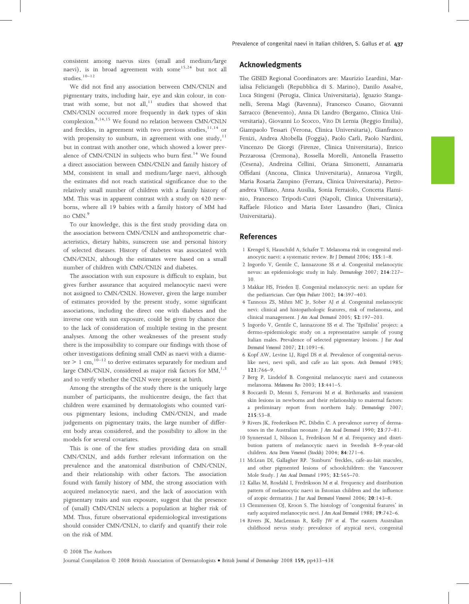consistent among naevus sizes (small and medium ⁄large naevi), is in broad agreement with some<sup>15,24</sup> but not all studies. $10-12$ 

We did not find any association between CMN/CNLN and pigmentary traits, including hair, eye and skin colour, in contrast with some, but not all, $11$  studies that showed that CMN/CNLN occurred more frequently in dark types of skin complexion.<sup>9,14,15</sup> We found no relation between CMN/CNLN and freckles, in agreement with two previous studies,  $11,14$  or with propensity to sunburn, in agreement with one study, $11$ but in contrast with another one, which showed a lower prevalence of CMN/CNLN in subjects who burn first.<sup>14</sup> We found a direct association between CMN ⁄CNLN and family history of MM, consistent in small and medium/large naevi, although the estimates did not reach statistical significance due to the relatively small number of children with a family history of MM. This was in apparent contrast with a study on 420 newborns, where all 19 babies with a family history of MM had no CMN.<sup>9</sup>

To our knowledge, this is the first study providing data on the association between CMN/CNLN and anthropometric characteristics, dietary habits, sunscreen use and personal history of selected diseases. History of diabetes was associated with CMN/CNLN, although the estimates were based on a small number of children with CMN/CNLN and diabetes.

The association with sun exposure is difficult to explain, but gives further assurance that acquired melanocytic naevi were not assigned to CMN ⁄CNLN. However, given the large number of estimates provided by the present study, some significant associations, including the direct one with diabetes and the inverse one with sun exposure, could be given by chance due to the lack of consideration of multiple testing in the present analyses. Among the other weaknesses of the present study there is the impossibility to compare our findings with those of other investigations defining small CMN as naevi with a diameter  $> 1$  cm,<sup>10–12</sup> to derive estimates separately for medium and large CMN/CNLN, considered as major risk factors for  $MM<sub>1</sub><sup>1,3</sup>$ and to verify whether the CNLN were present at birth.

Among the strengths of the study there is the uniquely large number of participants, the multicentre design, the fact that children were examined by dermatologists who counted various pigmentary lesions, including CMN ⁄CNLN, and made judgements on pigmentary traits, the large number of different body areas considered, and the possibility to allow in the models for several covariates.

This is one of the few studies providing data on small CMN/CNLN, and adds further relevant information on the prevalence and the anatomical distribution of CMN/CNLN, and their relationship with other factors. The association found with family history of MM, the strong association with acquired melanocytic naevi, and the lack of association with pigmentary traits and sun exposure, suggest that the presence of (small) CMN ⁄CNLN selects a population at higher risk of MM. Thus, future observational epidemiological investigations should consider CMN/CNLN, to clarify and quantify their role on the risk of MM.

## Acknowledgments

The GISED Regional Coordinators are: Maurizio Leardini, Marialisa Feliciangeli (Repubblica di S. Marino), Danilo Assalve, Luca Stingeni (Perugia, Clinica Universitaria), Ignazio Stanganelli, Serena Magi (Ravenna), Francesco Cusano, Giovanni Sarracco (Benevento), Anna Di Landro (Bergamo, Clinica Universitaria), Giovanni Lo Scocco, Vito Di Lernia (Reggio Emilia), Giampaolo Tessari (Verona, Clinica Universitaria), Gianfranco Fenizi, Andrea Altobella (Foggia), Paolo Carli, Paolo Nardini, Vincenzo De Giorgi (Firenze, Clinica Universitaria), Enrico Pezzarossa (Cremona), Rossella Morelli, Antonella Frassetto (Cesena), Andreina Cellini, Oriana Simonetti, Annamaria Offidani (Ancona, Clinica Universitaria), Annarosa Virgili, Maria Rosaria Zampino (Ferrara, Clinica Universitaria), Pietroandrea Villano, Anna Ausilia, Sonia Ferraiolo, Concetta Flaminio, Francesco Tripodi-Cutrı` (Napoli, Clinica Universitaria), Raffaele Filotico and Maria Ester Lassandro (Bari, Clinica Universitaria).

## References

- 1 Krengel S, Hauschild A, Schafer T. Melanoma risk in congenital melanocytic naevi: a systematic review. Br J Dermatol 2006; 155:1–8.
- 2 Ingordo V, Gentile C, Iannazzone SS et al. Congenital melanocytic nevus: an epidemiologic study in Italy. Dermatology 2007; 214:227– 30.
- 3 Makkar HS, Frieden IJ. Congenital melanocytic nevi: an update for the pediatrician. Curr Opin Pediatr 2002; 14:397–403.
- 4 Tannous ZS, Mihm MC Jr, Sober AJ et al. Congenital melanocytic nevi: clinical and histopathologic features, risk of melanoma, and clinical management. J Am Acad Dermatol 2005; 52:197–203.
- 5 Ingordo V, Gentile C, Iannazzone SS et al. The 'EpiEnlist' project: a dermo-epidemiologic study on a representative sample of young Italian males. Prevalence of selected pigmentary lesions. J Eur Acad Dermatol Venereol 2007; 21:1091–6.
- 6 Kopf AW, Levine LJ, Rigel DS et al. Prevalence of congenital-nevuslike nevi, nevi spili, and cafe au lait spots. Arch Dermatol 1985; 121:766–9.
- 7 Berg P, Lindelof B. Congenital melanocytic naevi and cutaneous melanoma. Melanoma Res 2003; 13:441–5.
- 8 Boccardi D, Menni S, Ferraroni M et al. Birthmarks and transient skin lesions in newborns and their relationship to maternal factors: a preliminary report from northern Italy. Dermatology 2007; 215:53–8.
- 9 Rivers JK, Frederiksen PC, Dibdin C. A prevalence survey of dermatoses in the Australian neonate. J Am Acad Dermatol 1990; 23:77–81.
- 10 Synnerstad I, Nilsson L, Fredrikson M et al. Frequency and distribution pattern of melanocytic naevi in Swedish 8–9-year-old children. Acta Derm Venereol (Stockh) 2004; 84:271–6.
- 11 McLean DI, Gallagher RP. 'Sunburn' freckles, cafe-au-lait macules, and other pigmented lesions of schoolchildren: the Vancouver Mole Study. J Am Acad Dermatol 1995; 32:565–70.
- 12 Kallas M, Rosdahl I, Fredriksson M et al. Frequency and distribution pattern of melanocytic naevi in Estonian children and the influence of atopic dermatitis. J Eur Acad Dermatol Venereol 2006; 20:143–8.
- 13 Clemmensen OJ, Kroon S. The histology of 'congenital features' in early acquired melanocytic nevi. J Am Acad Dermatol 1988; 19:742–6.
- 14 Rivers JK, MacLennan R, Kelly JW et al. The eastern Australian childhood nevus study: prevalence of atypical nevi, congenital